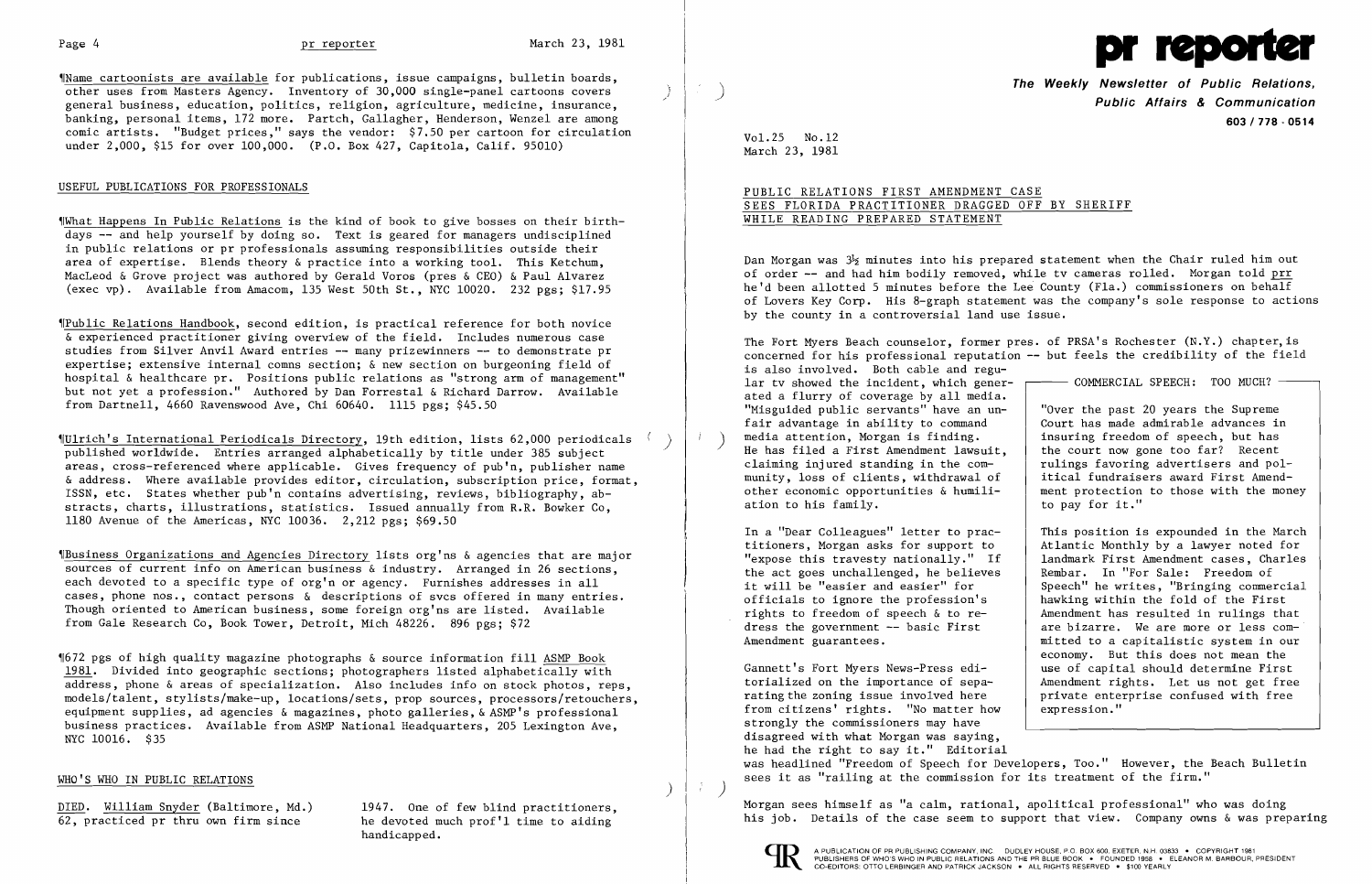$\mathcal{A}$ '\

~IName cartoonists are available for publications, issue campaigns, bulletin boards, other uses from Masters Agency. Inventory of 30,000 single-panel cartoons covers general business, education, politics, religion, agriculture, medicine, insurance, banking, personal items, 172 more. Partch, Gallagher, Henderson, Wenzel are among comic artists. "Budget prices," says the vendor: \$7.50 per cartoon for circulation under 2,000, \$15 for over 100,000. (P.O. Box 427, Capitola, Calif. 95010)

# USEFUL PUBLICATIONS FOR PROFESSIONALS

~IWhat Happens In Public Relations is the kind of book to give bosses on their birthdays -- and help yourself by doing so. Text is geared for managers undisciplined in public relations or pr professionals assuming responsibilities outside their area of expertise. Blends theory & practice into a working tool. This Ketchum, MacLeod & Grove project was authored by Gerald Voros (pres & CEO) & Paul Alvarez (exec vp). Available from Amacom, 135 West 50th St., NYC 10020. 232 pgs; \$17.95

~rpublic Relations Handbook, second edition, is practical reference for both novice & experienced practitioner giving overview of the field. Includes numerous case studies from Silver Anvil Award entries -- many prizewinners -- to demonstrate pr expertise; extensive internal comns section; & new section on burgeoning field of hospital & healthcare pr. Positions public relations as "strong arm of management" but not yet a profession." Authored by Dan Forrestal & Richard Darrow. Available from Dartnell, 4660 Ravenswood Ave, Chi 60640. 1115 pgs; \$45.50

 $$672$  pgs of high quality magazine photographs & source information fill ASMP Book 1981. Divided into geographic sections; photographers listed alphabetically with address, phone & areas of specialization. Also includes info on stock photos, reps, models/talent, stylists/make-up, locations/sets, prop sources, processors/retouchers, equipment supplies, ad agencies & magazines, photo galleries, & ASMP's professional business practices. Available from ASMP National Headquarters, 205 Lexington Ave, NYC 10016. \$35

# WHO'S WHO IN PUBLIC RELATIONS

DIED. William Snyder (Baltimore, Md.) 1947. One of few blind practitioners,<br>62, practiced pr thru own firm since he devoted much prof'l time to aiding

he devoted much prof'l time to aiding handicapped.

~rUlrich's International Periodicals Directory, 19th edition, lists 62,000 periodicals ) published worldwide. Entries arranged alphabetically by title under 385 subject areas, cross-referenced where applicable. Gives frequency of pub'n, publisher name & address. Where available provides editor, circulation, subscription price, format, ISSN, etc. States whether pub'n contains advertising, reviews, bibliography, abstracts, charts, illustrations, statistics. Issued annually from R.R. Bowker Co, 1180 Avenue of the Americas, NYC 10036. 2,212 pgs; \$69.50

Dan Morgan was  $3\frac{1}{2}$  minutes into his prepared statement when the Chair ruled him out of order -- and had him bodily removed, while tv cameras rolled. Morgan told prr he'd been allotted 5 minutes before the Lee County (Fla.) commissioners on behalf of Lovers Key Corp. His 8-graph statement was the company's sole response to actions by the county in a controversial land use issue.

The Fort Myers Beach counselor, former pres. of PRSA's Rochester (N.Y.) chapter,is concerned for his professional reputation  $-$  but feels the credibility of the field is also involved. Both cable and regular tv showed the incident, which gener- $\longleftarrow$  COMMERCIAL SPEECH: TOO MUCH? ated a flurry of coverage by all media. "Misguided public servants" have an un-  $\vert$  "Over the past 20 years the Supreme fair advantage in ability to command<br>media attention, Morgan is finding.<br>insuring freedom of speech, but has ) media attention, Morgan is finding.<br>He has filed a First Amendment lawsuit, the court now gone too far? Recent claiming injured standing in the comrulings favoring advertisers and polmunity, loss of clients, withdrawal of itical fundraisers award First Amendother economic opportunities  $\&$  humili-<br>ation to his family.<br>to pay for it." ation to his family.

~IBusiness Organizations and Agencies Directory lists org'ns & agencies that are major sources of current info on American business & industry. Arranged in 26 sections, each devoted to a specific type of org'n or agency. Furnishes addresses in all cases, phone nos., contact persons & descriptions of svcs offered in many entries. Though oriented to American business, some foreign org'ns are listed. Available from Gale Research Co, Book Tower, Detroit, Mich 48226. 896 pgs; \$72

titioners, Morgan asks for support to In a "Dear Colleagues" letter to practhe act goes unchallenged, he believes

Gannett's Fort Myers News-Press edi-<br>
torialized on the importance of sepa-<br>  $\begin{array}{|l|}$  Amendment rights. Let us not get free torialized on the importance of sepa-<br>
rating the zoning issue involved here brivate enterprise confused with free private enterprise confused with free from citizens' rights. "No matter how | expression." strongly the commissioners may have disagreed with what Morgan was saying, he had the right to say it." Editorial was headlined "Freedom of Speech for Developers, Too." However, the Beach Bulletin sees it as "railing at the commission for its treatment of the firm."

Morgan sees himself as "a calm, rational, apolitical professional" who was doing his job. Details of the case seem to support that view. Company owns & was preparing





**The Weekly Newsletter of Public Relations,** J **Public Affairs & Communication 603/778** - **0514** 

Vol. 25 No. 12 March 23, 1981

# PUBLIC RELATIONS FIRST AMENDMENT CASE SEES FLORIDA PRACTITIONER DRAGGED OFF BY SHERIFF WHILE READING PREPARED STATEMENT

This position is expounded in the March Atlantic Monthly by a lawyer noted for "expose this travesty nationally." If  $\begin{array}{|l|} \hline \end{array}$  landmark First Amendment cases, Charles<br>the act goes unchallenged, he believes Rembar. In "For Sale: Freedom of it will be "easier and easier" for<br>
officials to ignore the profession's and hawking within the fold of the First hawking within the fold of the First rights to freedom of speech & to re-<br>dress the government -- basic First<br>are bizarre. We are more or less comare bizarre. We are more or less com-Amendment guarantees.  $\parallel$  mitted to a capitalistic system in our economy. But this does not mean the

)